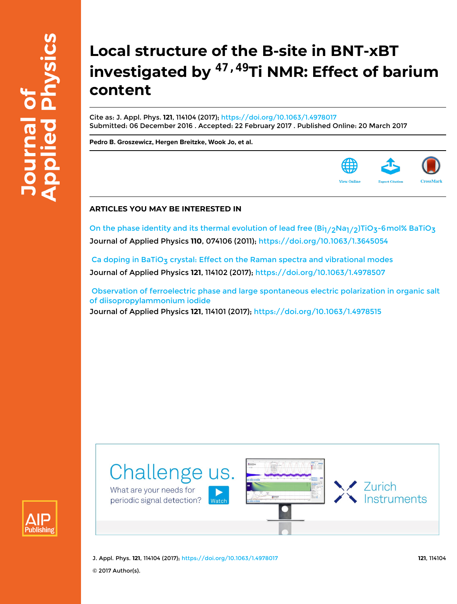# **Local structure of the B-site in BNT-xBT investigated by 47,49Ti NMR: Effect of barium content**

Cite as: J. Appl. Phys. **121**, 114104 (2017);<https://doi.org/10.1063/1.4978017> Submitted: 06 December 2016 . Accepted: 22 February 2017 . Published Online: 20 March 2017

**[Pedro B. Groszewicz,](https://aip.scitation.org/author/Groszewicz%2C+Pedro+B) [Hergen Breitzke](https://aip.scitation.org/author/Breitzke%2C+Hergen), [Wook Jo](https://aip.scitation.org/author/Jo%2C+Wook), et al.**



On the phase identity and its thermal evolution of lead free  $\frac{Bi_1}{2Na_1/2}$ TiO<sub>3</sub>-6mol% BaTiO<sub>3</sub> Journal of Applied Physics **110**, 074106 (2011); <https://doi.org/10.1063/1.3645054>

Ca doping in BaTiO<sub>3</sub> crystal: Effect on the Raman spectra and vibrational modes Journal of Applied Physics **121**, 114102 (2017);<https://doi.org/10.1063/1.4978507>

 [Observation of ferroelectric phase and large spontaneous electric polarization in organic salt](https://aip.scitation.org/doi/10.1063/1.4978515) [of diisopropylammonium iodide](https://aip.scitation.org/doi/10.1063/1.4978515) Journal of Applied Physics **121**, 114101 (2017);<https://doi.org/10.1063/1.4978515>





J. Appl. Phys. **121**, 114104 (2017);<https://doi.org/10.1063/1.4978017> **121**, 114104 © 2017 Author(s).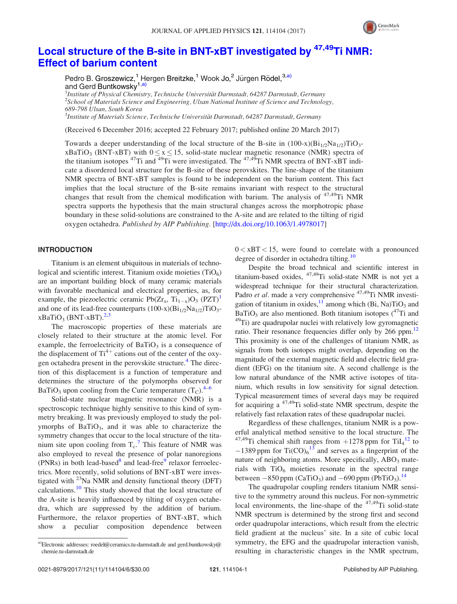

# [Local](http://dx.doi.org/10.1063/1.4978017) [structure](http://dx.doi.org/10.1063/1.4978017) [of](http://dx.doi.org/10.1063/1.4978017) [the](http://dx.doi.org/10.1063/1.4978017) [B-site](http://dx.doi.org/10.1063/1.4978017) [in](http://dx.doi.org/10.1063/1.4978017) [BNT-xBT](http://dx.doi.org/10.1063/1.4978017) [investigated](http://dx.doi.org/10.1063/1.4978017) [by](http://dx.doi.org/10.1063/1.4978017) <sup>47,49</sup>[Ti NMR:](http://dx.doi.org/10.1063/1.4978017) [Effect of barium content](http://dx.doi.org/10.1063/1.4978017)

Pedro B. Groszewicz,<sup>1</sup> Hergen Breitzke,<sup>1</sup> Wook Jo,<sup>2</sup> Jürgen Rödel,<sup>3,a)</sup> and Gerd Buntkowsky<sup>1,a)</sup>

<sup>1</sup>Institute of Physical Chemistry, Technische Universität Darmstadt, 64287 Darmstadt, Germany<br><sup>2</sup>School of Materials Science and Engineering, Ulsan National Institute of Science and Technolo  $^2$ School of Materials Science and Engineering, Ulsan National Institute of Science and Technology, 689-798 Ulsan, South Korea

 ${}^{3}$ Institute of Materials Science, Technische Universität Darmstadt, 64287 Darmstadt, Germany

(Received 6 December 2016; accepted 22 February 2017; published online 20 March 2017)

Towards a deeper understanding of the local structure of the B-site in  $(100-x)(Bi_{1/2}Na_{1/2})TiO_3$  $xBaTiO<sub>3</sub>$  (BNT-xBT) with  $0 \le x \le 15$ , solid-state nuclear magnetic resonance (NMR) spectra of the titanium isotopes  $^{47}$ Ti and  $^{49}$ Ti were investigated. The  $^{47,49}$ Ti NMR spectra of BNT-xBT indicate a disordered local structure for the B-site of these perovskites. The line-shape of the titanium NMR spectra of BNT-xBT samples is found to be independent on the barium content. This fact implies that the local structure of the B-site remains invariant with respect to the structural changes that result from the chemical modification with barium. The analysis of  $47,49$ Ti NMR spectra supports the hypothesis that the main structural changes across the morphotropic phase boundary in these solid-solutions are constrained to the A-site and are related to the tilting of rigid oxygen octahedra. Published by AIP Publishing. [<http://dx.doi.org/10.1063/1.4978017>]

## INTRODUCTION

Titanium is an element ubiquitous in materials of technological and scientific interest. Titanium oxide moieties  $(TiO<sub>6</sub>)$ are an important building block of many ceramic materials with favorable mechanical and electrical properties, as, for example, the piezoelectric ceramic  $Pb(Zr_{x}, Ti_{1-x})O_{3} (PZT)^{1}$ and one of its lead-free counterparts  $(100-x)(Bi_{1/2}Na_{1/2})TiO_3$  $xBaTiO<sub>3</sub>$  (BNT-xBT).<sup>2,3</sup>

The macroscopic properties of these materials are closely related to their structure at the atomic level. For example, the ferroelectricity of  $BaTiO<sub>3</sub>$  is a consequence of the displacement of  $Ti^{4+}$  cations out of the center of the oxy-gen octahedra present in the perovskite structure.<sup>[4](#page-5-0)</sup> The direction of this displacement is a function of temperature and determines the structure of the polymorphs observed for BaTiO<sub>3</sub> upon cooling from the Curie temperature  $(T<sub>C</sub>)$ .<sup>[4–6](#page-5-0)</sup>

Solid-state nuclear magnetic resonance (NMR) is a spectroscopic technique highly sensitive to this kind of symmetry breaking. It was previously employed to study the polymorphs of  $BaTiO<sub>3</sub>$ , and it was able to characterize the symmetry changes that occur to the local structure of the titanium site upon cooling from  $T_c$ .<sup>[7](#page-5-0)</sup> This feature of NMR was also employed to reveal the presence of polar nanoregions (PNRs) in both lead-based $8$  and lead-free $9$  relaxor ferroelectrics. More recently, solid solutions of BNT-xBT were investigated with  $^{23}$ Na NMR and density functional theory (DFT) calculations.[10](#page-5-0) This study showed that the local structure of the A-site is heavily influenced by tilting of oxygen octahedra, which are suppressed by the addition of barium. Furthermore, the relaxor properties of BNT-xBT, which show a peculiar composition dependence between  $0 < xBT < 15$ , were found to correlate with a pronounced degree of disorder in octahedra tilting.<sup>[10](#page-5-0)</sup>

Despite the broad technical and scientific interest in titanium-based oxides, 47,49Ti solid-state NMR is not yet a widespread technique for their structural characterization. Padro et al. made a very comprehensive <sup>47,49</sup>Ti NMR investigation of titanium in oxides,<sup>11</sup> among which (Bi, Na)TiO<sub>3</sub> and BaTiO<sub>3</sub> are also mentioned. Both titanium isotopes  $(^{47}$ Ti and <sup>49</sup>Ti) are quadrupolar nuclei with relatively low gyromagnetic ratio. Their resonance frequencies differ only by 266 ppm.<sup>[12](#page-5-0)</sup> This proximity is one of the challenges of titanium NMR, as signals from both isotopes might overlap, depending on the magnitude of the external magnetic field and electric field gradient (EFG) on the titanium site. A second challenge is the low natural abundance of the NMR active isotopes of titanium, which results in low sensitivity for signal detection. Typical measurement times of several days may be required for acquiring a  $47,49$ Ti solid-state NMR spectrum, despite the relatively fast relaxation rates of these quadrupolar nuclei.

Regardless of these challenges, titanium NMR is a powerful analytical method sensitive to the local structure. The <sup>47,49</sup>Ti chemical shift ranges from  $+1278$  $+1278$  $+1278$  ppm for TiI<sub>4</sub><sup>12</sup> to  $-1389$  $-1389$  $-1389$  ppm for Ti(CO)<sub>6</sub><sup>13</sup> and serves as a fingerprint of the nature of neighboring atoms. More specifically,  $ABO<sub>3</sub>$  materials with  $TiO<sub>6</sub>$  moieties resonate in the spectral range between  $-850$  ppm (CaTiO<sub>3</sub>) and  $-690$  ppm (PbTiO<sub>3</sub>).<sup>[14](#page-5-0)</sup>

The quadrupolar coupling renders titanium NMR sensitive to the symmetry around this nucleus. For non-symmetric local environments, the line-shape of the  $47,49$ Ti solid-state NMR spectrum is determined by the strong first and second order quadrupolar interactions, which result from the electric field gradient at the nucleus' site. In a site of cubic local symmetry, the EFG and the quadrupolar interaction vanish, resulting in characteristic changes in the NMR spectrum,

<sup>&</sup>lt;sup>a)</sup>Electronic addresses: [roedel@ceramics.tu-darmstadt.de](mailto:roedel@ceramics.tu-darmstadt.de) and [gerd.buntkowsky@](mailto:gerd.buntkowsky@chemie.tu-darmstadt.de) [chemie.tu-darmstadt.de](mailto:gerd.buntkowsky@chemie.tu-darmstadt.de)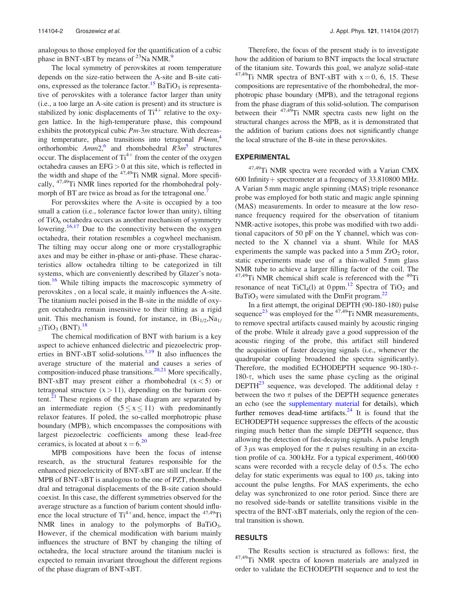analogous to those employed for the quantification of a cubic phase in BNT-xBT by means of  $^{23}$ Na NMR.<sup>[9](#page-5-0)</sup>

The local symmetry of perovskites at room temperature depends on the size-ratio between the A-site and B-site cations, expressed as the tolerance factor.<sup>15</sup> BaTiO<sub>3</sub> is representative of perovskites with a tolerance factor larger than unity (i.e., a too large an A-site cation is present) and its structure is stabilized by ionic displacements of  $Ti^{4+}$  relative to the oxygen lattice. In the high-temperature phase, this compound exhibits the prototypical cubic  $Pm-3m$  structure. With decreas-ing temperature, phase transitions into tetragonal P[4](#page-5-0)mm,<sup>4</sup> orthorhombic  $Amm2$ , and rhombohedral  $R3m^5$  $R3m^5$  structures occur. The displacement of  $Ti^{4+}$  from the center of the oxygen octahedra causes an EFG > 0 at this site, which is reflected in the width and shape of the  $47,49$ Ti NMR signal. More specifically, 47,49Ti NMR lines reported for the rhombohedral polymorph of BT are twice as broad as for the tetragonal one.<sup>7</sup>

For perovskites where the A-site is occupied by a too small a cation (i.e., tolerance factor lower than unity), tilting of  $TiO<sub>6</sub>$  octahedra occurs as another mechanism of symmetry lowering.<sup>[16,17](#page-5-0)</sup> Due to the connectivity between the oxygen octahedra, their rotation resembles a cogwheel mechanism. The tilting may occur along one or more crystallographic axes and may be either in-phase or anti-phase. These characteristics allow octahedra tilting to be categorized in tilt systems, which are conveniently described by Glazer's nota-tion.<sup>[16](#page-5-0)</sup> While tilting impacts the macroscopic symmetry of perovskites , on a local scale, it mainly influences the A-site. The titanium nuclei poised in the B-site in the middle of oxygen octahedra remain insensitive to their tilting as a rigid unit. This mechanism is found, for instance, in  $(Bi_{1/2},Na_{1/2})$  $_{2}$ )TiO<sub>3</sub> (BNT).<sup>[18](#page-5-0)</sup>

The chemical modification of BNT with barium is a key aspect to achieve enhanced dielectric and piezoelectric prop-erties in BNT-xBT solid-solutions.<sup>[3,19](#page-5-0)</sup> It also influences the average structure of the material and causes a series of composition-induced phase transitions.<sup>20,21</sup> More specifically, BNT-xBT may present either a rhombohedral  $(x < 5)$  or tetragonal structure  $(x > 11)$ , depending on the barium content. $^{21}$  These regions of the phase diagram are separated by an intermediate region  $(5 \le x \le 11)$  with predominantly relaxor features. If poled, the so-called morphotropic phase boundary (MPB), which encompasses the compositions with largest piezoelectric coefficients among these lead-free ceramics, is located at about  $x = 6$ <sup>20</sup>

MPB compositions have been the focus of intense research, as the structural features responsible for the enhanced piezoelectricity of BNT-xBT are still unclear. If the MPB of BNT-xBT is analogous to the one of PZT, rhombohedral and tetragonal displacements of the B-site cation should coexist. In this case, the different symmetries observed for the average structure as a function of barium content should influence the local structure of  $Ti^{4+}$  and, hence, impact the  $47,49$ Ti NMR lines in analogy to the polymorphs of BaTiO<sub>3</sub>. However, if the chemical modification with barium mainly influences the structure of BNT by changing the tilting of octahedra, the local structure around the titanium nuclei is expected to remain invariant throughout the different regions of the phase diagram of BNT-xBT.

Therefore, the focus of the present study is to investigate how the addition of barium to BNT impacts the local structure of the titanium site. Towards this goal, we analyze solid-state <sup>47,49</sup>Ti NMR spectra of BNT-xBT with  $x = 0$ , 6, 15. These compositions are representative of the rhombohedral, the morphotropic phase boundary (MPB), and the tetragonal regions from the phase diagram of this solid-solution. The comparison between their  $47,49$ Ti NMR spectra casts new light on the structural changes across the MPB, as it is demonstrated that the addition of barium cations does not significantly change the local structure of the B-site in these perovskites.

# EXPERIMENTAL

47,49Ti NMR spectra were recorded with a Varian CMX 600 Infinity + spectrometer at a frequency of  $33.810800$  MHz. A Varian 5 mm magic angle spinning (MAS) triple resonance probe was employed for both static and magic angle spinning (MAS) measurements. In order to measure at the low resonance frequency required for the observation of titanium NMR-active isotopes, this probe was modified with two additional capacitors of 50 pF on the Y channel, which was connected to the X channel via a shunt. While for MAS experiments the sample was packed into a  $5 \text{ mm } ZrO_2$  rotor, static experiments made use of a thin-walled 5 mm glass NMR tube to achieve a larger filling factor of the coil. The  $47,49$ Ti NMR chemical shift scale is referenced with the  $49$ Ti resonance of neat TiCl<sub>4</sub>(l) at 0 ppm.<sup>12</sup> Spectra of TiO<sub>2</sub> and  $BaTiO<sub>3</sub>$  were simulated with the DmFit program.<sup>[22](#page-6-0)</sup>

In a first attempt, the original DEPTH (90-180-180) pulse sequence<sup>23</sup> was employed for the  $47,49$ Ti NMR measurements, to remove spectral artifacts caused mainly by acoustic ringing of the probe. While it already gave a good suppression of the acoustic ringing of the probe, this artifact still hindered the acquisition of faster decaying signals (i.e., whenever the quadrupolar coupling broadened the spectra significantly). Therefore, the modified ECHODEPTH sequence  $90-180-\tau$ -180- $\tau$ , which uses the same phase cycling as the original DEPTH<sup>[23](#page-6-0)</sup> sequence, was developed. The additional delay  $\tau$ between the two  $\pi$  pulses of the DEPTH sequence generates an echo (see the [supplementary material](ftp://ftp.aip.org/epaps/journ_appl_phys/E-JAPIAU-121-056710) for details), which further removes dead-time artifacts. $24$  It is found that the ECHODEPTH sequence suppresses the effects of the acoustic ringing much better than the simple DEPTH sequence, thus allowing the detection of fast-decaying signals. A pulse length of 3  $\mu$ s was employed for the  $\pi$  pulses resulting in an excitation profile of ca. 300 kHz. For a typical experiment, 460 000 scans were recorded with a recycle delay of 0.5 s. The echo delay for static experiments was equal to  $100 \mu s$ , taking into account the pulse lengths. For MAS experiments, the echo delay was synchronized to one rotor period. Since there are no resolved side-bands or satellite transitions visible in the spectra of the BNT-xBT materials, only the region of the central transition is shown.

# RESULTS

The Results section is structured as follows: first, the 47,49Ti NMR spectra of known materials are analyzed in order to validate the ECHODEPTH sequence and to test the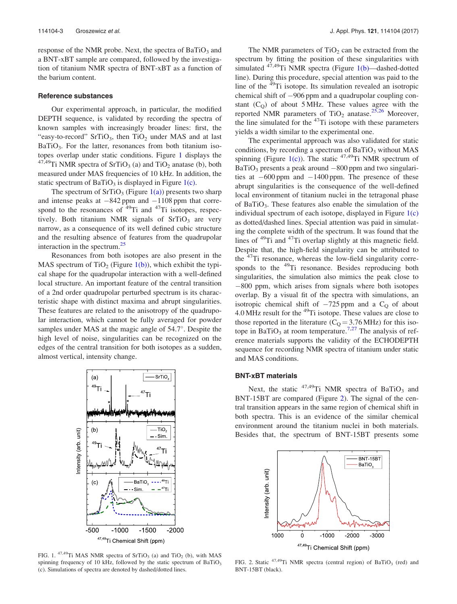<span id="page-3-0"></span>response of the NMR probe. Next, the spectra of  $BaTiO<sub>3</sub>$  and a BNT-xBT sample are compared, followed by the investigation of titanium NMR spectra of BNT-xBT as a function of the barium content.

#### Reference substances

Our experimental approach, in particular, the modified DEPTH sequence, is validated by recording the spectra of known samples with increasingly broader lines: first, the "easy-to-record" SrTiO<sub>3</sub>, then  $TiO<sub>2</sub>$  under MAS and at last  $BaTiO<sub>3</sub>$ . For the latter, resonances from both titanium isotopes overlap under static conditions. Figure 1 displays the  $47,49$ Ti NMR spectra of SrTiO<sub>3</sub> (a) and TiO<sub>2</sub> anatase (b), both measured under MAS frequencies of 10 kHz. In addition, the static spectrum of  $BaTiO<sub>3</sub>$  is displayed in Figure 1(c).

The spectrum of  $SrTiO<sub>3</sub>$  (Figure 1(a)) presents two sharp and intense peaks at  $-842$  ppm and  $-1108$  ppm that correspond to the resonances of  $49$ Ti and  $47$ Ti isotopes, respectively. Both titanium NMR signals of  $SrTiO<sub>3</sub>$  are very narrow, as a consequence of its well defined cubic structure and the resulting absence of features from the quadrupolar interaction in the spectrum. $^{25}$  $^{25}$  $^{25}$ 

Resonances from both isotopes are also present in the MAS spectrum of TiO<sub>2</sub> (Figure  $1(b)$ ), which exhibit the typical shape for the quadrupolar interaction with a well-defined local structure. An important feature of the central transition of a 2nd order quadrupolar perturbed spectrum is its characteristic shape with distinct maxima and abrupt singularities. These features are related to the anisotropy of the quadrupolar interaction, which cannot be fully averaged for powder samples under MAS at the magic angle of  $54.7^\circ$ . Despite the high level of noise, singularities can be recognized on the edges of the central transition for both isotopes as a sudden, almost vertical, intensity change.



FIG. 1.  $47,49$ Ti MAS NMR spectra of SrTiO<sub>3</sub> (a) and TiO<sub>2</sub> (b), with MAS spinning frequency of 10 kHz, followed by the static spectrum of  $BaTiO<sub>3</sub>$ (c). Simulations of spectra are denoted by dashed/dotted lines.

The NMR parameters of  $TiO<sub>2</sub>$  can be extracted from the spectrum by fitting the position of these singularities with simulated  $47,49$ Ti NMR spectra (Figure 1(b)—dashed-dotted line). During this procedure, special attention was paid to the line of the 49Ti isotope. Its simulation revealed an isotropic chemical shift of  $-906$  ppm and a quadrupolar coupling constant  $(C<sub>O</sub>)$  of about 5 MHz. These values agree with the reported NMR parameters of  $TiO<sub>2</sub>$  anatase.<sup>[25,26](#page-6-0)</sup> Moreover, the line simulated for the  $47$ Ti isotope with these parameters yields a width similar to the experimental one.

The experimental approach was also validated for static conditions, by recording a spectrum of  $BaTiO<sub>3</sub>$  without MAS spinning (Figure 1(c)). The static  $47,49$ Ti NMR spectrum of  $BaTiO<sub>3</sub>$  presents a peak around  $-800$  ppm and two singularities at  $-600$  ppm and  $-1400$  ppm. The presence of these abrupt singularities is the consequence of the well-defined local environment of titanium nuclei in the tetragonal phase of BaTiO<sub>3</sub>. These features also enable the simulation of the individual spectrum of each isotope, displayed in Figure  $1(c)$ as dotted/dashed lines. Special attention was paid in simulating the complete width of the spectrum. It was found that the lines of <sup>49</sup>Ti and <sup>47</sup>Ti overlap slightly at this magnetic field. Despite that, the high-field singularity can be attributed to the 47Ti resonance, whereas the low-field singularity corresponds to the <sup>49</sup>Ti resonance. Besides reproducing both singularities, the simulation also mimics the peak close to  $-800$  ppm, which arises from signals where both isotopes overlap. By a visual fit of the spectra with simulations, an isotropic chemical shift of  $-725$  ppm and a C<sub>O</sub> of about 4.0 MHz result for the <sup>49</sup>Ti isotope. These values are close to those reported in the literature ( $C<sub>Q</sub> = 3.76$  MHz) for this iso-tope in BaTiO<sub>3</sub> at room temperature.<sup>[7,](#page-5-0)[27](#page-6-0)</sup> The analysis of reference materials supports the validity of the ECHODEPTH sequence for recording NMR spectra of titanium under static and MAS conditions.

#### BNT-xBT materials

Next, the static  $47,49$ Ti NMR spectra of BaTiO<sub>3</sub> and BNT-15BT are compared (Figure 2). The signal of the central transition appears in the same region of chemical shift in both spectra. This is an evidence of the similar chemical environment around the titanium nuclei in both materials. Besides that, the spectrum of BNT-15BT presents some



FIG. 2. Static  $47,49$ Ti NMR spectra (central region) of BaTiO<sub>3</sub> (red) and BNT-15BT (black).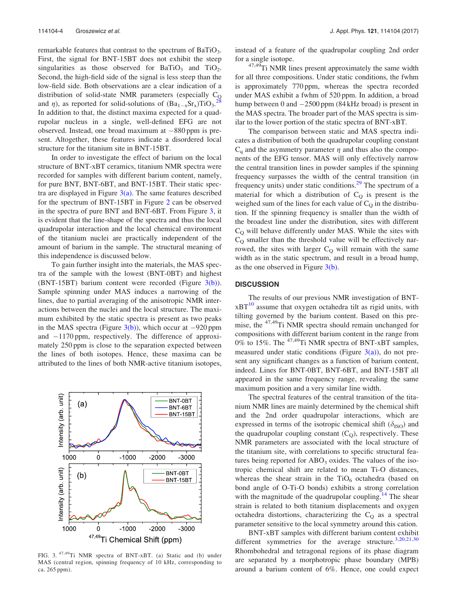remarkable features that contrast to the spectrum of  $BaTiO<sub>3</sub>$ . First, the signal for BNT-15BT does not exhibit the steep singularities as those observed for  $BaTiO<sub>3</sub>$  and  $TiO<sub>2</sub>$ . Second, the high-field side of the signal is less steep than the low-field side. Both observations are a clear indication of a distribution of solid-state NMR parameters (especially C<sub>Q</sub> and  $\eta$ ), as reported for solid-solutions of  $(Ba_{1-x}Sr_x)TiO_3$ . [28](#page-6-0) In addition to that, the distinct maxima expected for a quadrupolar nucleus in a single, well-defined EFG are not observed. Instead, one broad maximum at  $-880$  ppm is present. Altogether, these features indicate a disordered local structure for the titanium site in BNT-15BT.

In order to investigate the effect of barium on the local structure of BNT-xBT ceramics, titanium NMR spectra were recorded for samples with different barium content, namely, for pure BNT, BNT-6BT, and BNT-15BT. Their static spectra are displayed in Figure  $3(a)$ . The same features described for the spectrum of BNT-15BT in Figure [2](#page-3-0) can be observed in the spectra of pure BNT and BNT-6BT. From Figure 3, it is evident that the line-shape of the spectra and thus the local quadrupolar interaction and the local chemical environment of the titanium nuclei are practically independent of the amount of barium in the sample. The structural meaning of this independence is discussed below.

To gain further insight into the materials, the MAS spectra of the sample with the lowest (BNT-0BT) and highest (BNT-15BT) barium content were recorded (Figure  $3(b)$ ). Sample spinning under MAS induces a narrowing of the lines, due to partial averaging of the anisotropic NMR interactions between the nuclei and the local structure. The maximum exhibited by the static spectra is present as two peaks in the MAS spectra (Figure  $3(b)$ ), which occur at  $-920$  ppm and  $-1170$  ppm, respectively. The difference of approximately 250 ppm is close to the separation expected between the lines of both isotopes. Hence, these maxima can be attributed to the lines of both NMR-active titanium isotopes,



FIG. 3. 47,49Ti NMR spectra of BNT-xBT. (a) Static and (b) under MAS (central region, spinning frequency of 10 kHz, corresponding to ca. 265 ppm).

instead of a feature of the quadrupolar coupling 2nd order for a single isotope.

<sup>47,49</sup>Ti NMR lines present approximately the same width for all three compositions. Under static conditions, the fwhm is approximately 770 ppm, whereas the spectra recorded under MAS exhibit a fwhm of 520 ppm. In addition, a broad hump between 0 and  $-2500$  ppm (84 kHz broad) is present in the MAS spectra. The broader part of the MAS spectra is similar to the lower portion of the static spectra of BNT-xBT.

The comparison between static and MAS spectra indicates a distribution of both the quadrupolar coupling constant  $C_q$  and the asymmetry parameter  $\eta$  and thus also the components of the EFG tensor. MAS will only effectively narrow the central transition lines in powder samples if the spinning frequency surpasses the width of the central transition (in frequency units) under static conditions.<sup>29</sup> The spectrum of a material for which a distribution of  $C<sub>O</sub>$  is present is the weighed sum of the lines for each value of  $C<sub>O</sub>$  in the distribution. If the spinning frequency is smaller than the width of the broadest line under the distribution, sites with different  $C<sub>O</sub>$  will behave differently under MAS. While the sites with  $C_Q$  smaller than the threshold value will be effectively narrowed, the sites with larger  $C<sub>O</sub>$  will remain with the same width as in the static spectrum, and result in a broad hump, as the one observed in Figure 3(b).

### **DISCUSSION**

The results of our previous NMR investigation of BNT- $xBT^{10}$  $xBT^{10}$  $xBT^{10}$  assume that oxygen octahedra tilt as rigid units, with tilting governed by the barium content. Based on this premise, the <sup>47,49</sup>Ti NMR spectra should remain unchanged for compositions with different barium content in the range from 0% to 15%. The <sup>47,49</sup>Ti NMR spectra of BNT-xBT samples, measured under static conditions (Figure  $3(a)$ ), do not present any significant changes as a function of barium content, indeed. Lines for BNT-0BT, BNT-6BT, and BNT-15BT all appeared in the same frequency range, revealing the same maximum position and a very similar line width.

The spectral features of the central transition of the titanium NMR lines are mainly determined by the chemical shift and the 2nd order quadrupolar interactions, which are expressed in terms of the isotropic chemical shift ( $\delta_{\rm ISO}$ ) and the quadrupolar coupling constant  $(C<sub>O</sub>)$ , respectively. These NMR parameters are associated with the local structure of the titanium site, with correlations to specific structural features being reported for  $ABO<sub>3</sub>$  oxides. The values of the isotropic chemical shift are related to mean Ti-O distances, whereas the shear strain in the  $TiO<sub>6</sub>$  octahedra (based on bond angle of O-Ti-O bonds) exhibits a strong correlation with the magnitude of the quadrupolar coupling.<sup>14</sup> The shear strain is related to both titanium displacements and oxygen octahedra distortions, characterizing the  $C<sub>O</sub>$  as a spectral parameter sensitive to the local symmetry around this cation.

BNT-xBT samples with different barium content exhibit different symmetries for the average structure.<sup>[3,20,21](#page-5-0)[,30](#page-6-0)</sup> Rhombohedral and tetragonal regions of its phase diagram are separated by a morphotropic phase boundary (MPB) around a barium content of 6%. Hence, one could expect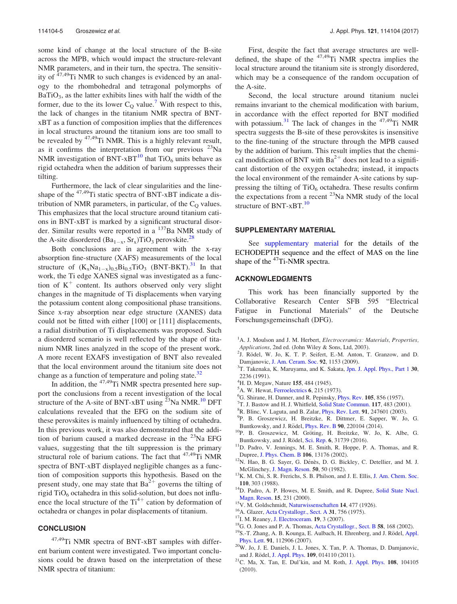<span id="page-5-0"></span>some kind of change at the local structure of the B-site across the MPB, which would impact the structure-relevant NMR parameters, and in their turn, the spectra. The sensitivity of  $47,49$ Ti NMR to such changes is evidenced by an analogy to the rhombohedral and tetragonal polymorphs of  $BaTiO<sub>3</sub>$ , as the latter exhibits lines with half the width of the former, due to the its lower  $C_Q$  value.<sup>7</sup> With respect to this, the lack of changes in the titanium NMR spectra of BNTxBT as a function of composition implies that the differences in local structures around the titanium ions are too small to be revealed by  $47,49$ Ti NMR. This is a highly relevant result, as it confirms the interpretation from our previous  $^{23}$ Na NMR investigation of BNT-xBT<sup>10</sup> that TiO<sub>6</sub> units behave as rigid octahedra when the addition of barium suppresses their tilting.

Furthermore, the lack of clear singularities and the lineshape of the  $47,49$ Ti static spectra of BNT-xBT indicate a distribution of NMR parameters, in particular, of the  $C<sub>O</sub>$  values. This emphasizes that the local structure around titanium cations in BNT-xBT is marked by a significant structural disorder. Similar results were reported in a <sup>137</sup>Ba NMR study of the A-site disordered (Ba<sub>1-x</sub>, Sr<sub>x</sub>)TiO<sub>3</sub> perovskite.<sup>[28](#page-6-0)</sup>

Both conclusions are in agreement with the x-ray absorption fine-structure (XAFS) measurements of the local structure of  $(K_xNa_{1-x})_{0.5}Bi_{0.5}TiO_3$  (BNT-BKT).<sup>[31](#page-6-0)</sup> In that work, the Ti edge XANES signal was investigated as a function of  $K^+$  content. Its authors observed only very slight changes in the magnitude of Ti displacements when varying the potassium content along compositional phase transitions. Since x-ray absorption near edge structure (XANES) data could not be fitted with either [100] or [111] displacements, a radial distribution of Ti displacements was proposed. Such a disordered scenario is well reflected by the shape of titanium NMR lines analyzed in the scope of the present work. A more recent EXAFS investigation of BNT also revealed that the local environment around the titanium site does not change as a function of temperature and poling state. $32$ 

In addition, the  $47,49$ Ti NMR spectra presented here support the conclusions from a recent investigation of the local structure of the A-site of BNT-xBT using  $^{23}$ Na NMR.<sup>10</sup> DFT calculations revealed that the EFG on the sodium site of these perovskites is mainly influenced by tilting of octahedra. In this previous work, it was also demonstrated that the addition of barium caused a marked decrease in the  $^{23}$ Na EFG values, suggesting that the tilt suppression is the primary structural role of barium cations. The fact that  $47,49$ Ti NMR spectra of BNT-xBT displayed negligible changes as a function of composition supports this hypothesis. Based on the present study, one may state that  $Ba^{2+}$  governs the tilting of rigid  $TiO<sub>6</sub>$  octahedra in this solid-solution, but does not influence the local structure of the  $Ti^{4+}$  cation by deformation of octahedra or changes in polar displacements of titanium.

# **CONCLUSION**

47,49Ti NMR spectra of BNT-xBT samples with different barium content were investigated. Two important conclusions could be drawn based on the interpretation of these NMR spectra of titanium:

First, despite the fact that average structures are welldefined, the shape of the  $47,49$ Ti NMR spectra implies the local structure around the titanium site is strongly disordered, which may be a consequence of the random occupation of the A-site.

Second, the local structure around titanium nuclei remains invariant to the chemical modification with barium, in accordance with the effect reported for BNT modified with potassium. $31$  The lack of changes in the  $47,49$ Ti NMR spectra suggests the B-site of these perovskites is insensitive to the fine-tuning of the structure through the MPB caused by the addition of barium. This result implies that the chemical modification of BNT with  $Ba^{2+}$  does not lead to a significant distortion of the oxygen octahedra; instead, it impacts the local environment of the remainder A-site cations by suppressing the tilting of  $TiO_6$  octahedra. These results confirm the expectations from a recent  $^{23}$ Na NMR study of the local structure of BNT-xBT.<sup>10</sup>

#### SUPPLEMENTARY MATERIAL

See [supplementary material](ftp://ftp.aip.org/epaps/journ_appl_phys/E-JAPIAU-121-056710) for the details of the ECHODEPTH sequence and the effect of MAS on the line shape of the <sup>47</sup>Ti-NMR spectra.

#### ACKNOWLEDGMENTS

This work has been financially supported by the Collaborative Research Center SFB 595 "Electrical Fatigue in Functional Materials" of the Deutsche Forschungsgemeinschaft (DFG).

- <sup>1</sup>A. J. Moulson and J. M. Herbert, *Electroceramics: Materials, Properties,* Applications, 2nd ed. (John Wiley & Sons, Ltd, 2003).
- <sup>2</sup>J. Rödel, W. Jo, K. T. P. Seifert, E.-M. Anton, T. Granzow, and D. Damjanovic, [J. Am. Ceram. Soc.](http://dx.doi.org/10.1111/j.1551-2916.2009.03061.x) 92, 1153 (2009).
- <sup>3</sup>T. Takenaka, K. Maruyama, and K. Sakata, [Jpn. J. Appl. Phys., Part 1](http://dx.doi.org/10.1143/JJAP.30.2236) 30, 2236 (1991).
- <sup>4</sup>H. D. Megaw, Nature 155, 484 (1945).
- ${}^5$ A. W. Hewat, [Ferroelectrics](http://dx.doi.org/10.1080/00150197408243970) 6, 215 (1973).
- <sup>6</sup>G. Shirane, H. Danner, and R. Pepinsky, *[Phys. Rev.](http://dx.doi.org/10.1103/PhysRev.105.856)* 105, 856 (1957).
- $T$ T. J. Bastow and H. J. Whitfield, [Solid State Commun.](http://dx.doi.org/10.1016/S0038-1098(00)00491-9) 117, 483 (2001).
- ${}^{8}$ R. Blinc, V. Laguta, and B. Zalar, *[Phys. Rev. Lett.](http://dx.doi.org/10.1103/PhysRevLett.91.247601)* **91**, 247601 (2003).
- <sup>9</sup>P. B. Groszewicz, H. Breitzke, R. Dittmer, E. Sapper, W. Jo, G. Buntkowsky, and J. Rödel, [Phys. Rev. B](http://dx.doi.org/10.1103/PhysRevB.90.220104) 90, 220104 (2014). <sup>10</sup>P. B. Groszewicz, M. Gröting, H. Breitzke, W. Jo, K. Albe, G.
- 
- Buntkowsky, and J. Rödel, [Sci. Rep.](http://dx.doi.org/10.1038/srep31739) 6, 31739 (2016). <sup>11</sup>D. Padro, V. Jennings, M. E. Smith, R. Hoppe, P. A. Thomas, and R.
- Dupree, [J. Phys. Chem. B](http://dx.doi.org/10.1021/jp021583x) 106, 13176 (2002).<br><sup>12</sup>N. Hao, B. G. Sayer, G. Dénès, D. G. Bickley, C. Detellier, and M. J.
- McGlinchey, [J. Magn. Reson.](http://dx.doi.org/10.1016/0022-2364(82)90030-0) 50, 50 (1982). <sup>13</sup>K. M. Chi, S. R. Frerichs, S. B. Philson, and J. E. Ellis, [J. Am. Chem. Soc.](http://dx.doi.org/10.1021/ja00209a056)
- **110**, 303 (1988).  $14\text{D}$ . Padro, A. P. Howes, M. E. Smith, and R. Dupree, [Solid State Nucl.](http://dx.doi.org/10.1016/S0926-2040(99)00061-2)
- 
- 
- 
- 
- [Magn. Reson.](http://dx.doi.org/10.1016/S0926-2040(99)00061-2) 15, 231 (2000).<br><sup>15</sup>V. M. Goldschmidt, [Naturwissenschaften](http://dx.doi.org/10.1007/BF01507527) 14, 477 (1926).<br><sup>16</sup>A. Glazer, [Acta Crystallogr., Sect. A](http://dx.doi.org/10.1107/S0567739475001635) 31, 756 (1975).<br><sup>17</sup>I. M. Reaney, [J. Electroceram.](http://dx.doi.org/10.1007/s10832-007-9041-6) 19, 3 (2007).<br><sup>18</sup>G. O. Jones and P. A.
- [Phys. Lett.](http://dx.doi.org/10.1063/1.2783200) <sup>91</sup>, 112906 (2007). 20W. Jo, J. E. Daniels, J. L. Jones, X. Tan, P. A. Thomas, D. Damjanovic,
- and J. Rödel, [J. Appl. Phys.](http://dx.doi.org/10.1063/1.3514093) 109, 014110 (2011). <sup>21</sup>C. Ma, X. Tan, E. Dul'kin, and M. Roth, J. Appl. Phys. 108, 104105 (2010).